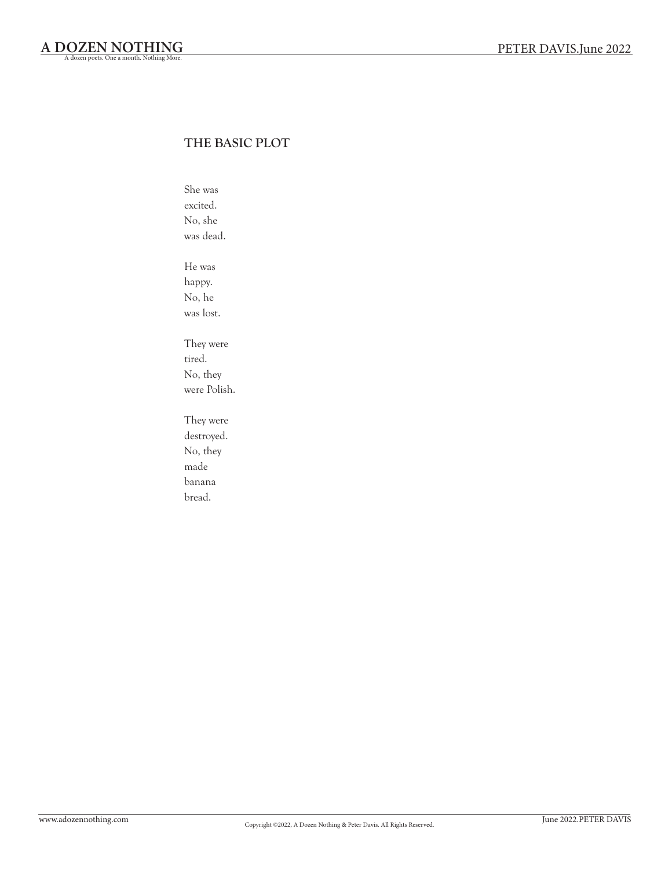#### THE BASIC PLOT

She was excited. No, she was dead. He was happy. No, he was lost.

They were tired. No, they were Polish.

They were destroyed. No, they made banana bread.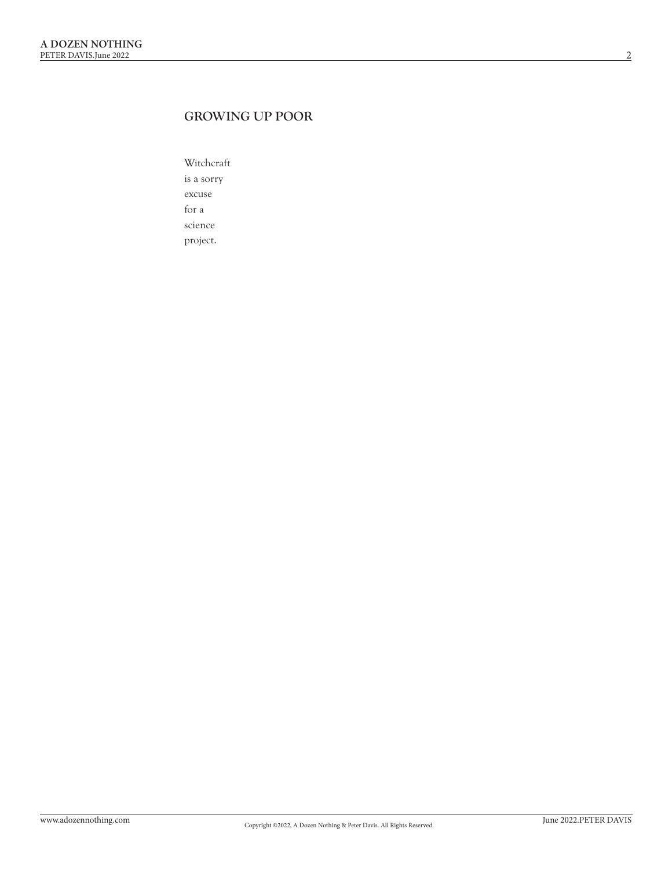## GROWING UP POOR

Witchcraft is a sorry excuse for a science project.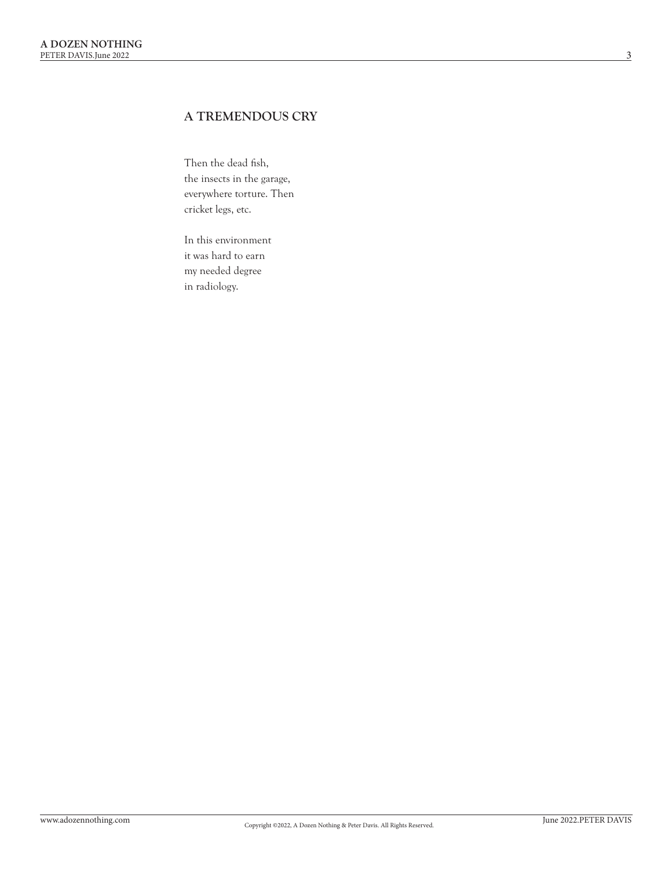### A TREMENDOUS CRY

Then the dead fish, the insects in the garage, everywhere torture. Then cricket legs, etc.

In this environment it was hard to earn my needed degree in radiology.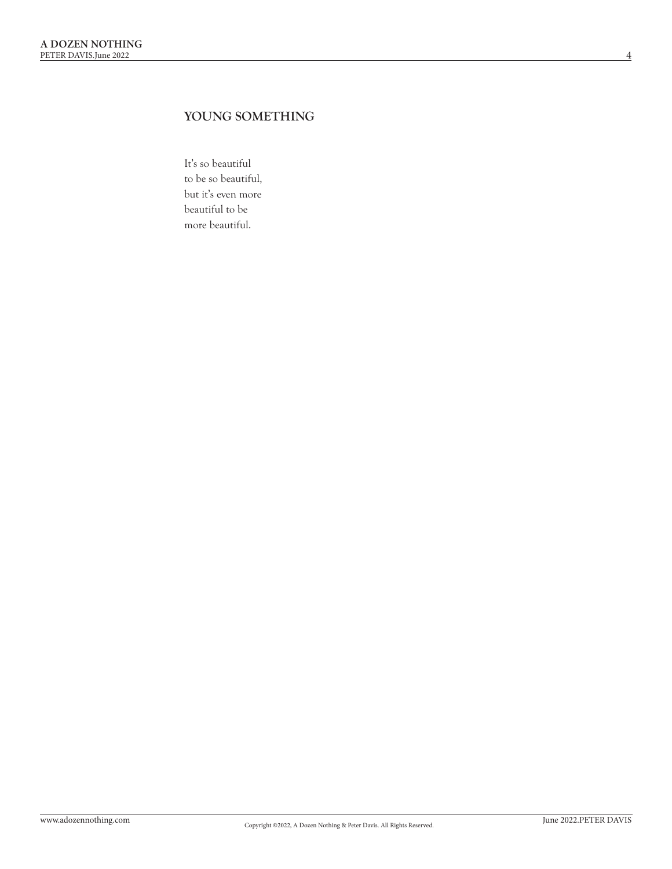## YOUNG SOMETHING

It's so beautiful to be so beautiful, but it's even more beautiful to be more beautiful.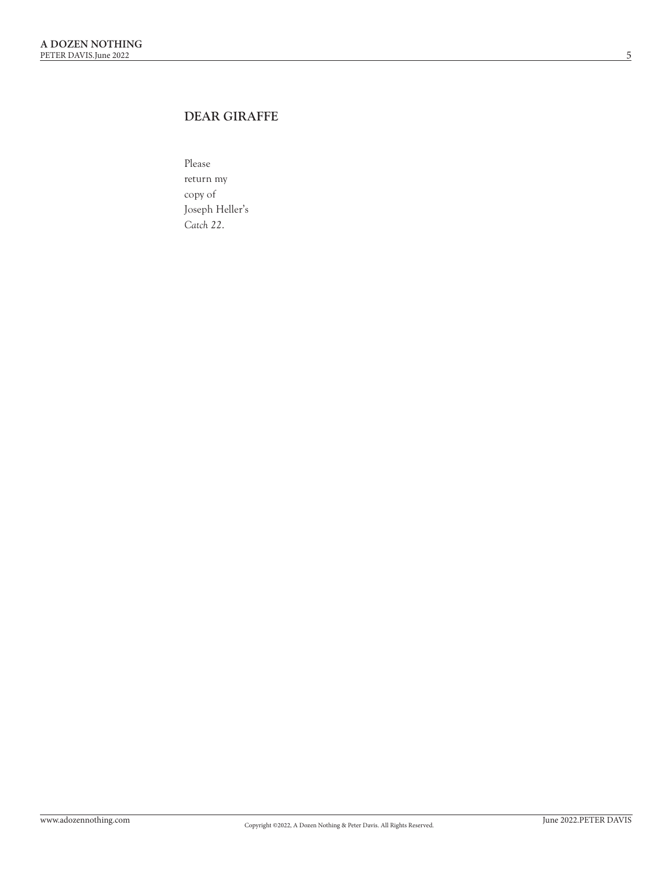## DEAR GIRAFFE

Please return my copy of Joseph Heller's *Catch 22* .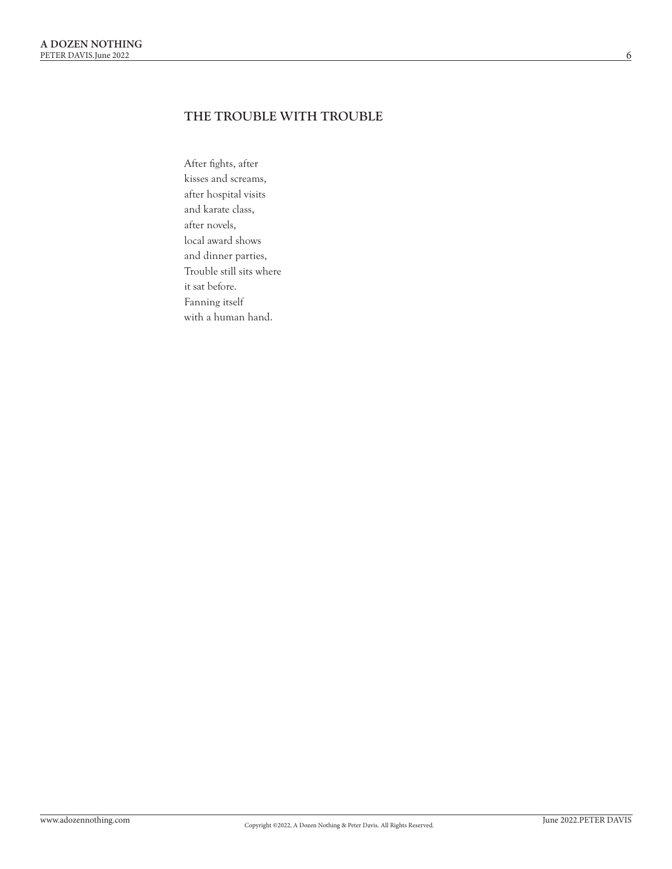### THE TROUBLE WITH TROUBLE

After fights, after kisses and screams, after hospital visits and karate class, after novels, local award shows and dinner parties, Trouble still sits where it sat before. Fanning itself with a human hand.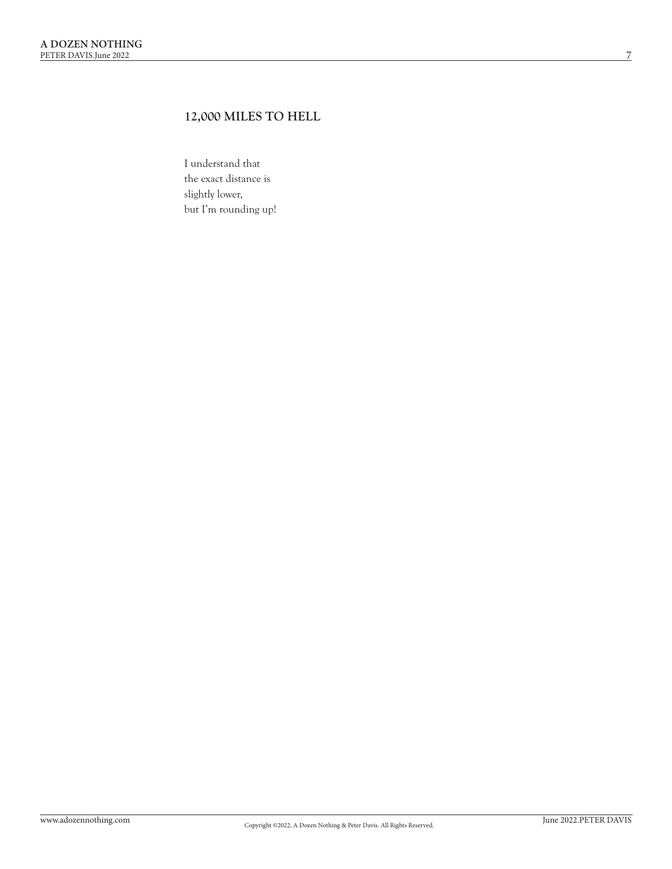## 12,000 MILES TO HELL

I understand that the exact distance is slightly lower, but I'm rounding up!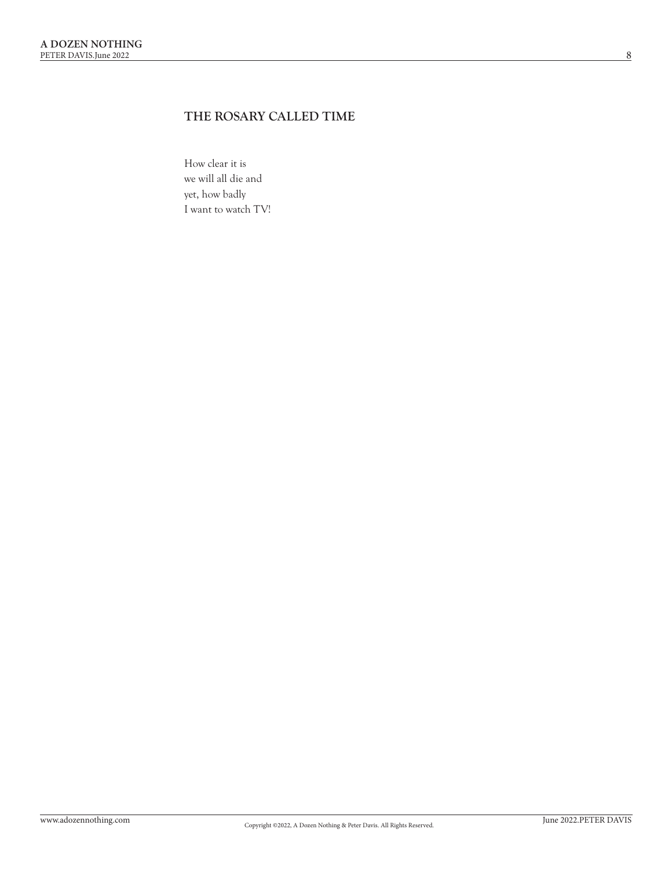# THE ROSARY CALLED TIME

How clear it is we will all die and yet, how badly I want to watch TV!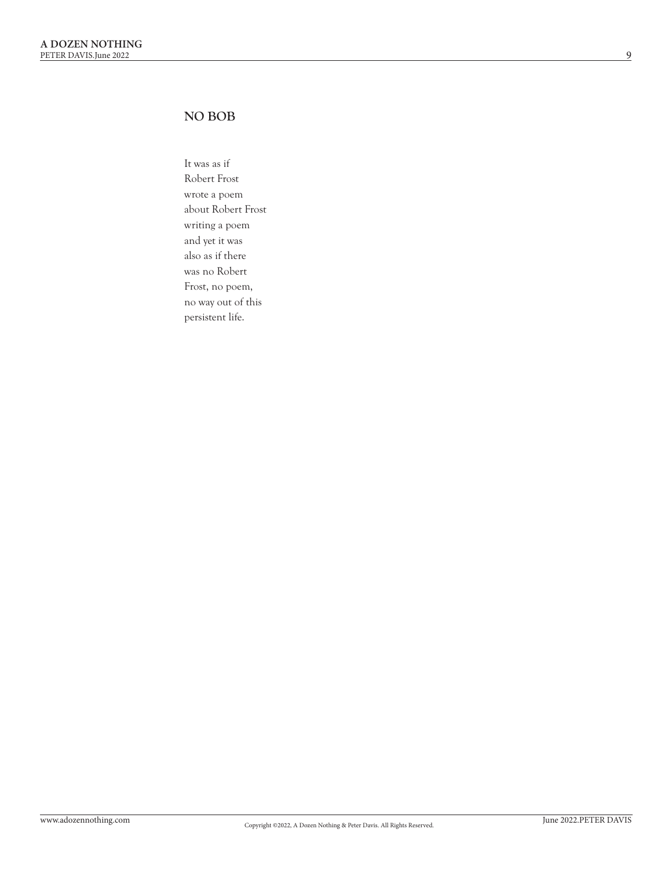#### NO BOB

It was as if Robert Frost wrote a poem about Robert Frost writing a poem and yet it was also as if there was no Robert Frost, no poem, no way out of this persistent life.